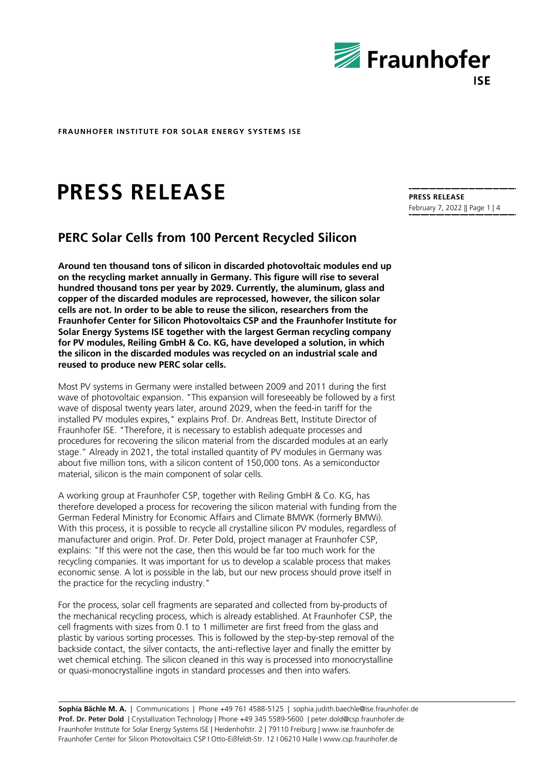

# **PRESS RELEASE**

# **PERC Solar Cells from 100 Percent Recycled Silicon**

**Around ten thousand tons of silicon in discarded photovoltaic modules end up on the recycling market annually in Germany. This figure will rise to several hundred thousand tons per year by 2029. Currently, the aluminum, glass and copper of the discarded modules are reprocessed, however, the silicon solar cells are not. In order to be able to reuse the silicon, researchers from the Fraunhofer Center for Silicon Photovoltaics CSP and the Fraunhofer Institute for Solar Energy Systems ISE together with the largest German recycling company for PV modules, Reiling GmbH & Co. KG, have developed a solution, in which the silicon in the discarded modules was recycled on an industrial scale and reused to produce new PERC solar cells.**

Most PV systems in Germany were installed between 2009 and 2011 during the first wave of photovoltaic expansion. "This expansion will foreseeably be followed by a first wave of disposal twenty years later, around 2029, when the feed-in tariff for the installed PV modules expires," explains Prof. Dr. Andreas Bett, Institute Director of Fraunhofer ISE. "Therefore, it is necessary to establish adequate processes and procedures for recovering the silicon material from the discarded modules at an early stage." Already in 2021, the total installed quantity of PV modules in Germany was about five million tons, with a silicon content of 150,000 tons. As a semiconductor material, silicon is the main component of solar cells.

A working group at Fraunhofer CSP, together with Reiling GmbH & Co. KG, has therefore developed a process for recovering the silicon material with funding from the German Federal Ministry for Economic Affairs and Climate BMWK (formerly BMWi). With this process, it is possible to recycle all crystalline silicon PV modules, regardless of manufacturer and origin. Prof. Dr. Peter Dold, project manager at Fraunhofer CSP, explains: "If this were not the case, then this would be far too much work for the recycling companies. It was important for us to develop a scalable process that makes economic sense. A lot is possible in the lab, but our new process should prove itself in the practice for the recycling industry."

For the process, solar cell fragments are separated and collected from by-products of the mechanical recycling process, which is already established. At Fraunhofer CSP, the cell fragments with sizes from 0.1 to 1 millimeter are first freed from the glass and plastic by various sorting processes. This is followed by the step-by-step removal of the backside contact, the silver contacts, the anti-reflective layer and finally the emitter by wet chemical etching. The silicon cleaned in this way is processed into monocrystalline or quasi-monocrystalline ingots in standard processes and then into wafers.

**Sophia Bächle M. A.** | Communications | Phone +49 761 4588-5125 | sophia.judith.baechle@ise.fraunhofer.de Prof. Dr. Peter Dold | Crystallization Technology | Phone +49 345 5589-5600 | peter.dold@csp.fraunhofer.de Fraunhofer Institute for Solar Energy Systems ISE | Heidenhofstr. 2 | 79110 Freiburg | www.ise.fraunhofer.de Fraunhofer Center for Silicon Photovoltaics CSP I Otto-Eißfeldt-Str. 12 I 06210 Halle I www.csp.fraunhofer.de

**PRESS RELEASE** February 7, 2022 || Page 1 | 4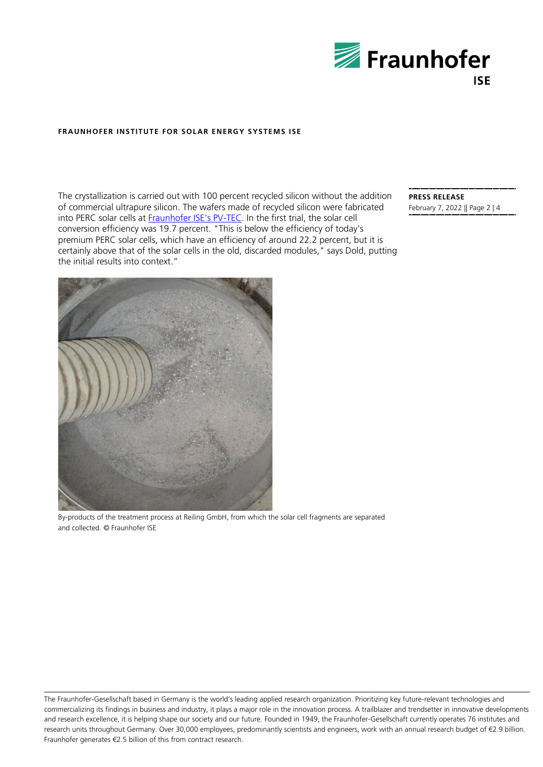

The crystallization is carried out with 100 percent recycled silicon without the addition of commercial ultrapure silicon. The wafers made of recycled silicon were fabricated into PERC solar cells at **Fraunhofer ISE's PV-TEC**. In the first trial, the solar cell conversion efficiency was 19.7 percent. "This is below the efficiency of today's premium PERC solar cells, which have an efficiency of around 22.2 percent, but it is certainly above that of the solar cells in the old, discarded modules," says Dold, putting the initial results into context."

**PRESS RELEASE** February 7, 2022 || Page 2 | 4



By-products of the treatment process at Reiling GmbH, from which the solar cell fragments are separated and collected. © Fraunhofer ISE

The Fraunhofer-Gesellschaft based in Germany is the world's leading applied research organization. Prioritizing key future-relevant technologies and commercializing its findings in business and industry, it plays a major role in the innovation process. A trailblazer and trendsetter in innovative developments and research excellence, it is helping shape our society and our future. Founded in 1949, the Fraunhofer-Gesellschaft currently operates 76 institutes and research units throughout Germany. Over 30,000 employees, predominantly scientists and engineers, work with an annual research budget of €2.9 billion. Fraunhofer generates €2.5 billion of this from contract research.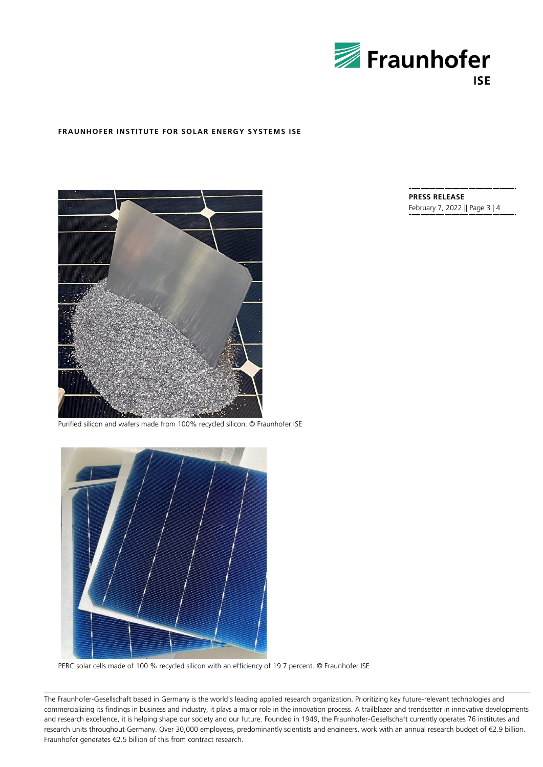



Purified silicon and wafers made from 100% recycled silicon. © Fraunhofer ISE



PERC solar cells made of 100 % recycled silicon with an efficiency of 19.7 percent. © Fraunhofer ISE

The Fraunhofer-Gesellschaft based in Germany is the world's leading applied research organization. Prioritizing key future-relevant technologies and commercializing its findings in business and industry, it plays a major role in the innovation process. A trailblazer and trendsetter in innovative developments and research excellence, it is helping shape our society and our future. Founded in 1949, the Fraunhofer-Gesellschaft currently operates 76 institutes and research units throughout Germany. Over 30,000 employees, predominantly scientists and engineers, work with an annual research budget of €2.9 billion. Fraunhofer generates €2.5 billion of this from contract research.

**PRESS RELEASE** February 7, 2022 || Page 3 | 4